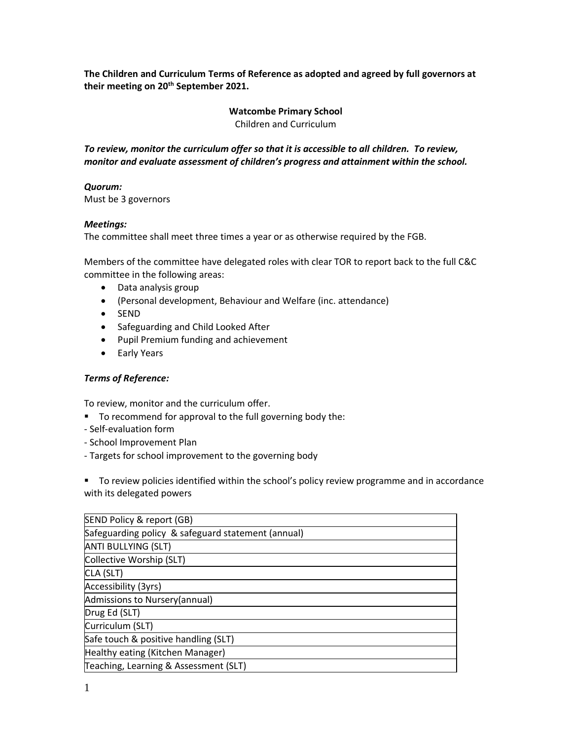**The Children and Curriculum Terms of Reference as adopted and agreed by full governors at their meeting on 20th September 2021.**

## **Watcombe Primary School** Children and Curriculum

*To review, monitor the curriculum offer so that it is accessible to all children. To review, monitor and evaluate assessment of children's progress and attainment within the school.*

## *Quorum:*

Must be 3 governors

## *Meetings:*

The committee shall meet three times a year or as otherwise required by the FGB.

Members of the committee have delegated roles with clear TOR to report back to the full C&C committee in the following areas:

- Data analysis group
- (Personal development, Behaviour and Welfare (inc. attendance)
- SEND
- Safeguarding and Child Looked After
- Pupil Premium funding and achievement
- Early Years

## *Terms of Reference:*

To review, monitor and the curriculum offer.

- To recommend for approval to the full governing body the:
- Self-evaluation form
- School Improvement Plan
- Targets for school improvement to the governing body

■ To review policies identified within the school's policy review programme and in accordance with its delegated powers

| SEND Policy & report (GB)                          |
|----------------------------------------------------|
| Safeguarding policy & safeguard statement (annual) |
| <b>ANTI BULLYING (SLT)</b>                         |
| Collective Worship (SLT)                           |
| CLA (SLT)                                          |
| Accessibility (3yrs)                               |
| Admissions to Nursery (annual)                     |
| Drug Ed (SLT)                                      |
| Curriculum (SLT)                                   |
| Safe touch & positive handling (SLT)               |
| Healthy eating (Kitchen Manager)                   |
| Teaching, Learning & Assessment (SLT)              |